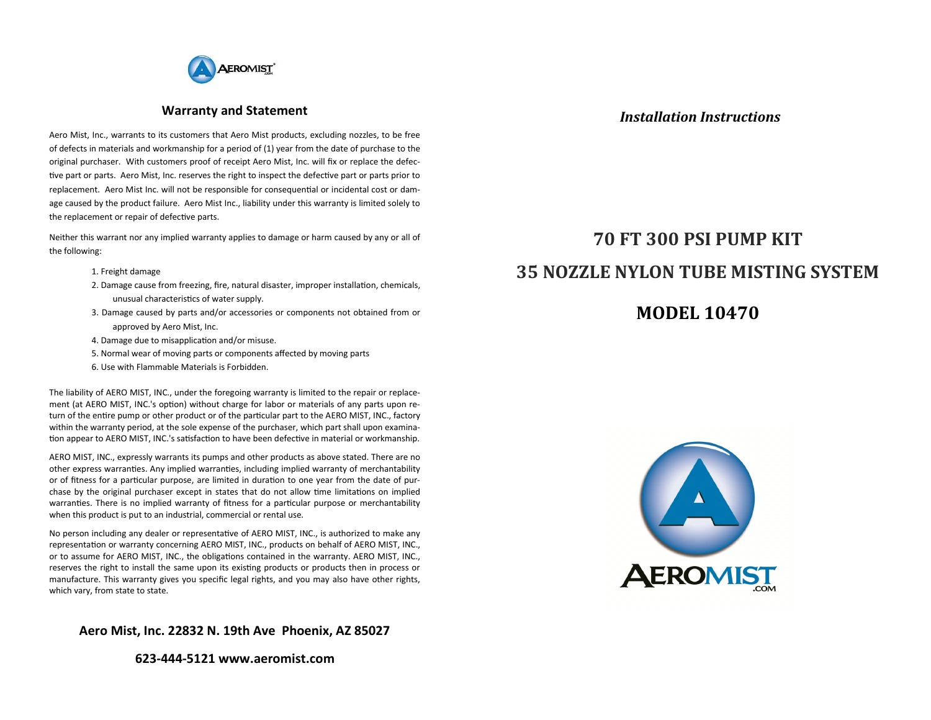

### **Warranty and Statement**

Aero Mist, Inc., warrants to its customers that Aero Mist products, excluding nozzles, to be free of defects in materials and workmanship for a period of (1) year from the date of purchase to the original purchaser. With customers proof of receipt Aero Mist, Inc. will fix or replace the defective part or parts. Aero Mist, Inc. reserves the right to inspect the defective part or parts prior to replacement. Aero Mist Inc. will not be responsible for consequential or incidental cost or damage caused by the product failure. Aero Mist Inc., liability under this warranty is limited solely to the replacement or repair of defective parts.

Neither this warrant nor any implied warranty applies to damage or harm caused by any or all of the following:

- 1. Freight damage
- 2. Damage cause from freezing, fire, natural disaster, improper installation, chemicals, unusual characteristics of water supply.
- 3. Damage caused by parts and/or accessories or components not obtained from or approved by Aero Mist, Inc.
- 4. Damage due to misapplication and/or misuse.
- 5. Normal wear of moving parts or components affected by moving parts
- 6. Use with Flammable Materials is Forbidden.

The liability of AERO MIST, INC., under the foregoing warranty is limited to the repair or replacement (at AERO MIST, INC.'s option) without charge for labor or materials of any parts upon return of the entire pump or other product or of the particular part to the AERO MIST, INC., factory within the warranty period, at the sole expense of the purchaser, which part shall upon examination appear to AERO MIST, INC.'s satisfaction to have been defective in material or workmanship.

AERO MIST, INC., expressly warrants its pumps and other products as above stated. There are no other express warranties. Any implied warranties, including implied warranty of merchantability or of fitness for a particular purpose, are limited in duration to one year from the date of purchase by the original purchaser except in states that do not allow time limitations on implied warranties. There is no implied warranty of fitness for a particular purpose or merchantability when this product is put to an industrial, commercial or rental use.

No person including any dealer or representative of AERO MIST, INC., is authorized to make any representation or warranty concerning AERO MIST, INC., products on behalf of AERO MIST, INC., or to assume for AERO MIST, INC., the obligations contained in the warranty. AERO MIST, INC., reserves the right to install the same upon its existing products or products then in process or manufacture. This warranty gives you specific legal rights, and you may also have other rights, which vary, from state to state.

**Aero Mist, Inc. 22832 N. 19th Ave Phoenix, AZ 85027**

**623-444-5121 www.aeromist.com**

## *Installation Instructions*

# **70 FT 300 PSI PUMP KIT 35 NOZZLE NYLON TUBE MISTING SYSTEM**

# **MODEL 10470**